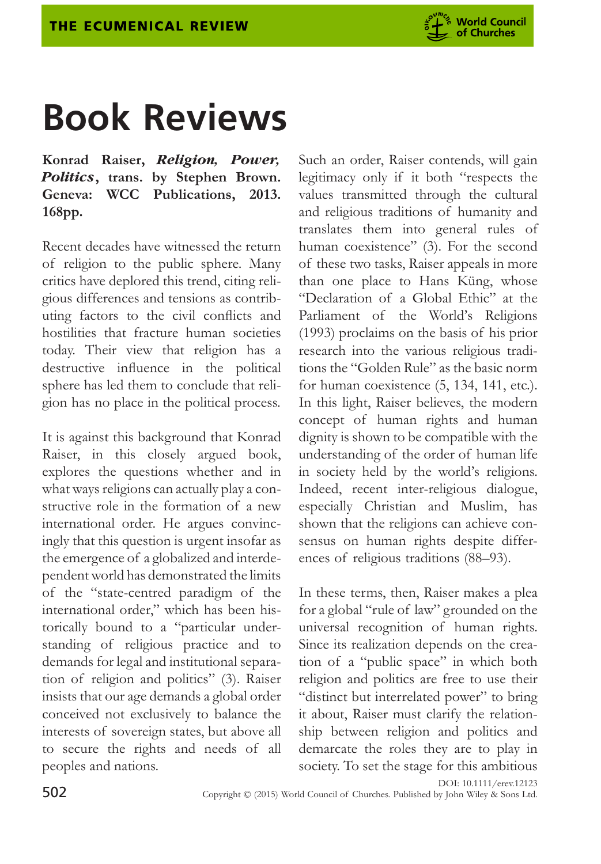

## **Book Reviews**

**Konrad Raiser,** *Religion, Power, Politics***, trans. by Stephen Brown. Geneva: WCC Publications, 2013. 168pp.**

Recent decades have witnessed the return of religion to the public sphere. Many critics have deplored this trend, citing religious differences and tensions as contributing factors to the civil conflicts and hostilities that fracture human societies today. Their view that religion has a destructive influence in the political sphere has led them to conclude that religion has no place in the political process.

It is against this background that Konrad Raiser, in this closely argued book, explores the questions whether and in what ways religions can actually play a constructive role in the formation of a new international order. He argues convincingly that this question is urgent insofar as the emergence of a globalized and interdependent world has demonstrated the limits of the "state-centred paradigm of the international order," which has been historically bound to a "particular understanding of religious practice and to demands for legal and institutional separation of religion and politics" (3). Raiser insists that our age demands a global order conceived not exclusively to balance the interests of sovereign states, but above all to secure the rights and needs of all peoples and nations.

Such an order, Raiser contends, will gain legitimacy only if it both "respects the values transmitted through the cultural and religious traditions of humanity and translates them into general rules of human coexistence" (3). For the second of these two tasks, Raiser appeals in more than one place to Hans Küng, whose "Declaration of a Global Ethic" at the Parliament of the World's Religions (1993) proclaims on the basis of his prior research into the various religious traditions the "Golden Rule" as the basic norm for human coexistence (5, 134, 141, etc.). In this light, Raiser believes, the modern concept of human rights and human dignity is shown to be compatible with the understanding of the order of human life in society held by the world's religions. Indeed, recent inter-religious dialogue, especially Christian and Muslim, has shown that the religions can achieve consensus on human rights despite differences of religious traditions (88–93).

In these terms, then, Raiser makes a plea for a global "rule of law" grounded on the universal recognition of human rights. Since its realization depends on the creation of a "public space" in which both religion and politics are free to use their "distinct but interrelated power" to bring it about, Raiser must clarify the relationship between religion and politics and demarcate the roles they are to play in society. To set the stage for this ambitious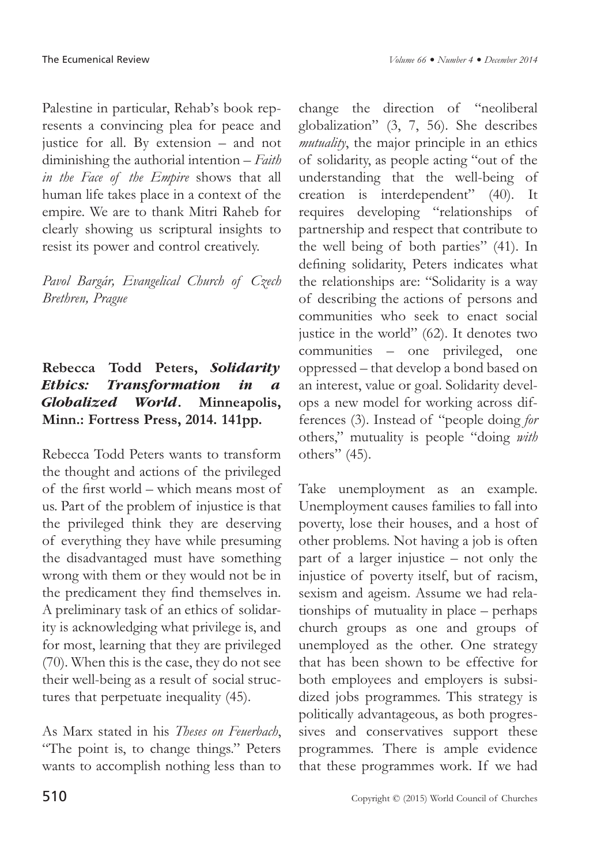Palestine in particular, Rehab's book represents a convincing plea for peace and justice for all. By extension – and not diminishing the authorial intention – *Faith in the Face of the Empire* shows that all human life takes place in a context of the empire. We are to thank Mitri Raheb for clearly showing us scriptural insights to resist its power and control creatively.

*Pavol Bargár, Evangelical Church of Czech Brethren, Prague*

## **Rebecca Todd Peters,** *Solidarity Ethics: Transformation in Globalized World***. Minneapolis, Minn.: Fortress Press, 2014. 141pp.**

Rebecca Todd Peters wants to transform the thought and actions of the privileged of the first world – which means most of us. Part of the problem of injustice is that the privileged think they are deserving of everything they have while presuming the disadvantaged must have something wrong with them or they would not be in the predicament they find themselves in. A preliminary task of an ethics of solidarity is acknowledging what privilege is, and for most, learning that they are privileged (70). When this is the case, they do not see their well-being as a result of social structures that perpetuate inequality (45).

As Marx stated in his *Theses on Feuerbach*, "The point is, to change things." Peters wants to accomplish nothing less than to change the direction of "neoliberal globalization" (3, 7, 56). She describes *mutuality*, the major principle in an ethics of solidarity, as people acting "out of the understanding that the well-being of creation is interdependent" (40). It requires developing "relationships of partnership and respect that contribute to the well being of both parties" (41). In defining solidarity, Peters indicates what the relationships are: "Solidarity is a way of describing the actions of persons and communities who seek to enact social justice in the world" (62). It denotes two communities – one privileged, one oppressed – that develop a bond based on an interest, value or goal. Solidarity develops a new model for working across differences (3). Instead of "people doing *for* others," mutuality is people "doing *with* others" (45).

Take unemployment as an example. Unemployment causes families to fall into poverty, lose their houses, and a host of other problems. Not having a job is often part of a larger injustice – not only the injustice of poverty itself, but of racism, sexism and ageism. Assume we had relationships of mutuality in place – perhaps church groups as one and groups of unemployed as the other. One strategy that has been shown to be effective for both employees and employers is subsidized jobs programmes. This strategy is politically advantageous, as both progressives and conservatives support these programmes. There is ample evidence that these programmes work. If we had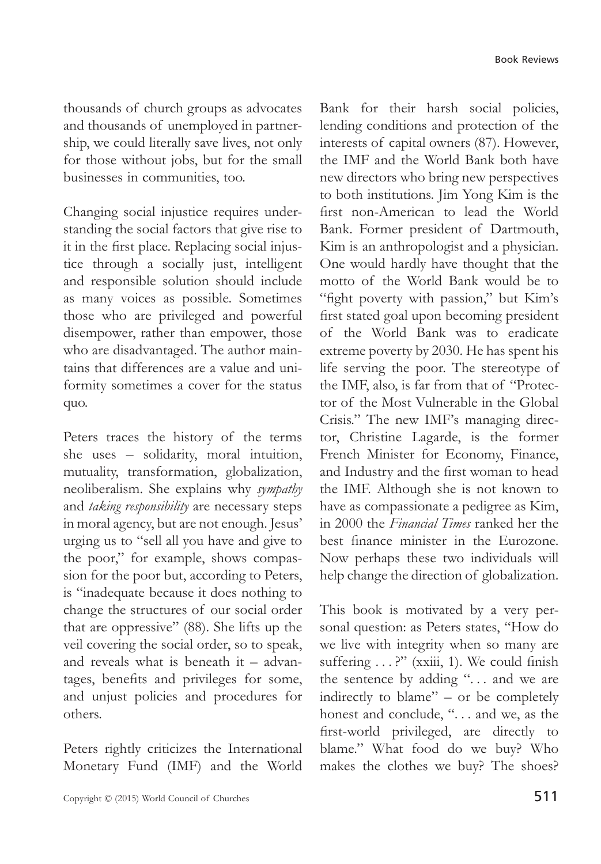thousands of church groups as advocates and thousands of unemployed in partnership, we could literally save lives, not only for those without jobs, but for the small businesses in communities, too.

Changing social injustice requires understanding the social factors that give rise to it in the first place. Replacing social injustice through a socially just, intelligent and responsible solution should include as many voices as possible. Sometimes those who are privileged and powerful disempower, rather than empower, those who are disadvantaged. The author maintains that differences are a value and uniformity sometimes a cover for the status quo.

Peters traces the history of the terms she uses – solidarity, moral intuition, mutuality, transformation, globalization, neoliberalism. She explains why *sympathy* and *taking responsibility* are necessary steps in moral agency, but are not enough. Jesus' urging us to "sell all you have and give to the poor," for example, shows compassion for the poor but, according to Peters, is "inadequate because it does nothing to change the structures of our social order that are oppressive" (88). She lifts up the veil covering the social order, so to speak, and reveals what is beneath it – advantages, benefits and privileges for some, and unjust policies and procedures for others.

Peters rightly criticizes the International Monetary Fund (IMF) and the World

Bank for their harsh social policies, lending conditions and protection of the interests of capital owners (87). However, the IMF and the World Bank both have new directors who bring new perspectives to both institutions. Jim Yong Kim is the first non-American to lead the World Bank. Former president of Dartmouth, Kim is an anthropologist and a physician. One would hardly have thought that the motto of the World Bank would be to "fight poverty with passion," but Kim's first stated goal upon becoming president of the World Bank was to eradicate extreme poverty by 2030. He has spent his life serving the poor. The stereotype of the IMF, also, is far from that of "Protector of the Most Vulnerable in the Global Crisis." The new IMF's managing director, Christine Lagarde, is the former French Minister for Economy, Finance, and Industry and the first woman to head the IMF. Although she is not known to have as compassionate a pedigree as Kim, in 2000 the *Financial Times* ranked her the best finance minister in the Eurozone. Now perhaps these two individuals will help change the direction of globalization.

This book is motivated by a very personal question: as Peters states, "How do we live with integrity when so many are suffering . . . ?" (xxiii, 1). We could finish the sentence by adding "... and we are indirectly to blame" – or be completely honest and conclude, "... and we, as the first-world privileged, are directly to blame." What food do we buy? Who makes the clothes we buy? The shoes?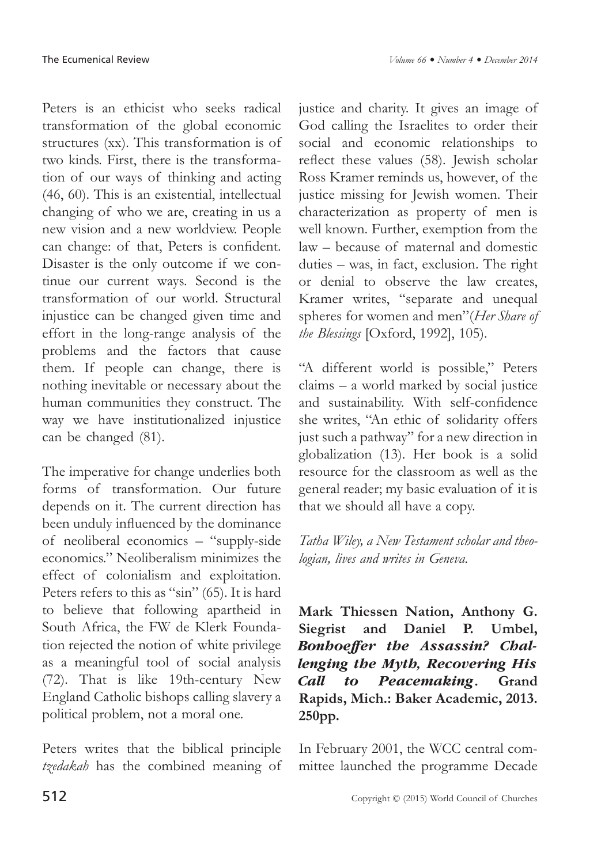Peters is an ethicist who seeks radical transformation of the global economic structures (xx). This transformation is of two kinds. First, there is the transformation of our ways of thinking and acting (46, 60). This is an existential, intellectual changing of who we are, creating in us a new vision and a new worldview. People can change: of that, Peters is confident. Disaster is the only outcome if we continue our current ways. Second is the transformation of our world. Structural injustice can be changed given time and effort in the long-range analysis of the problems and the factors that cause them. If people can change, there is nothing inevitable or necessary about the human communities they construct. The way we have institutionalized injustice can be changed (81).

The imperative for change underlies both forms of transformation. Our future depends on it. The current direction has been unduly influenced by the dominance of neoliberal economics – "supply-side economics." Neoliberalism minimizes the effect of colonialism and exploitation. Peters refers to this as "sin" (65). It is hard to believe that following apartheid in South Africa, the FW de Klerk Foundation rejected the notion of white privilege as a meaningful tool of social analysis (72). That is like 19th-century New England Catholic bishops calling slavery a political problem, not a moral one.

Peters writes that the biblical principle *tzedakah* has the combined meaning of justice and charity. It gives an image of God calling the Israelites to order their social and economic relationships to reflect these values (58). Jewish scholar Ross Kramer reminds us, however, of the justice missing for Jewish women. Their characterization as property of men is well known. Further, exemption from the law – because of maternal and domestic duties – was, in fact, exclusion. The right or denial to observe the law creates, Kramer writes, "separate and unequal spheres for women and men"(*Her Share of the Blessings* [Oxford, 1992], 105).

"A different world is possible," Peters claims–aworld marked by social justice and sustainability. With self-confidence she writes, "An ethic of solidarity offers just such a pathway" for a new direction in globalization (13). Her book is a solid resource for the classroom as well as the general reader; my basic evaluation of it is that we should all have a copy.

*Tatha Wiley, a New Testament scholar and theologian, lives and writes in Geneva.*

**Mark Thiessen Nation, Anthony G. Siegrist and Daniel P. Umbel,** *Bonhoeffer the Assassin? Challenging the Myth, Recovering His Call to Peacemaking***. Grand Rapids, Mich.: Baker Academic, 2013. 250pp.**

In February 2001, the WCC central committee launched the programme Decade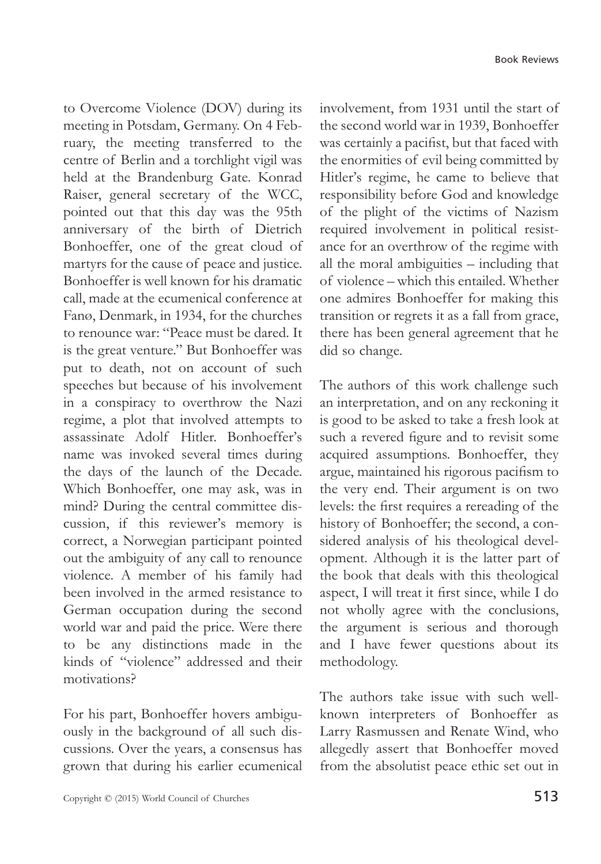to Overcome Violence (DOV) during its meeting in Potsdam, Germany. On 4 February, the meeting transferred to the centre of Berlin and a torchlight vigil was held at the Brandenburg Gate. Konrad Raiser, general secretary of the WCC, pointed out that this day was the 95th anniversary of the birth of Dietrich Bonhoeffer, one of the great cloud of martyrs for the cause of peace and justice. Bonhoeffer is well known for his dramatic call, made at the ecumenical conference at Fanø, Denmark, in 1934, for the churches to renounce war: "Peace must be dared. It is the great venture." But Bonhoeffer was put to death, not on account of such speeches but because of his involvement in a conspiracy to overthrow the Nazi regime, a plot that involved attempts to assassinate Adolf Hitler. Bonhoeffer's name was invoked several times during the days of the launch of the Decade. Which Bonhoeffer, one may ask, was in mind? During the central committee discussion, if this reviewer's memory is correct, a Norwegian participant pointed out the ambiguity of any call to renounce violence. A member of his family had been involved in the armed resistance to German occupation during the second world war and paid the price. Were there to be any distinctions made in the kinds of "violence" addressed and their motivations?

For his part, Bonhoeffer hovers ambiguously in the background of all such discussions. Over the years, a consensus has grown that during his earlier ecumenical

involvement, from 1931 until the start of the second world war in 1939, Bonhoeffer was certainly a pacifist, but that faced with the enormities of evil being committed by Hitler's regime, he came to believe that responsibility before God and knowledge of the plight of the victims of Nazism required involvement in political resistance for an overthrow of the regime with all the moral ambiguities – including that of violence – which this entailed. Whether one admires Bonhoeffer for making this transition or regrets it as a fall from grace, there has been general agreement that he did so change.

The authors of this work challenge such an interpretation, and on any reckoning it is good to be asked to take a fresh look at such a revered figure and to revisit some acquired assumptions. Bonhoeffer, they argue, maintained his rigorous pacifism to the very end. Their argument is on two levels: the first requires a rereading of the history of Bonhoeffer; the second, a considered analysis of his theological development. Although it is the latter part of the book that deals with this theological aspect, I will treat it first since, while I do not wholly agree with the conclusions, the argument is serious and thorough and I have fewer questions about its methodology.

The authors take issue with such wellknown interpreters of Bonhoeffer as Larry Rasmussen and Renate Wind, who allegedly assert that Bonhoeffer moved from the absolutist peace ethic set out in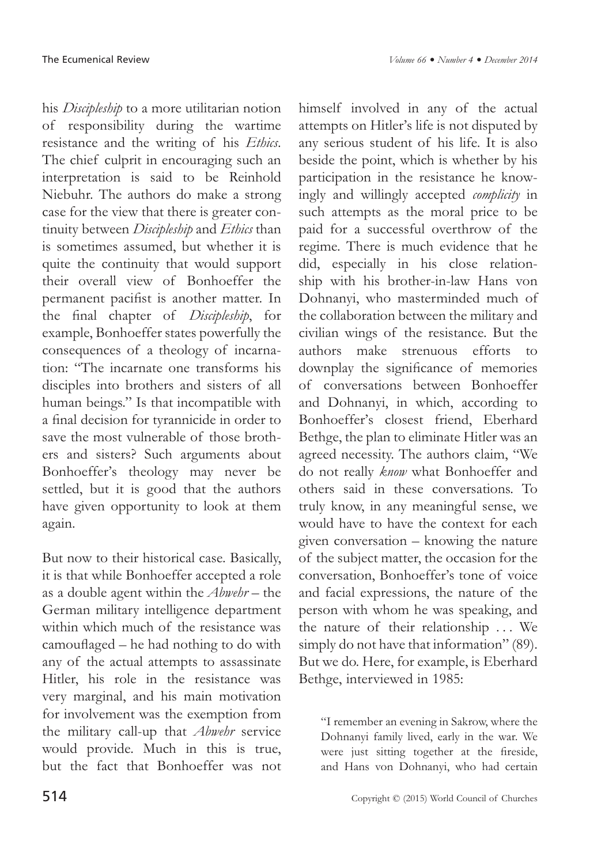his *Discipleship* to a more utilitarian notion of responsibility during the wartime resistance and the writing of his *Ethics*. The chief culprit in encouraging such an interpretation is said to be Reinhold Niebuhr. The authors do make a strong case for the view that there is greater continuity between *Discipleship* and *Ethics* than is sometimes assumed, but whether it is quite the continuity that would support their overall view of Bonhoeffer the permanent pacifist is another matter. In the final chapter of *Discipleship*, for example, Bonhoeffer states powerfully the consequences of a theology of incarnation: "The incarnate one transforms his disciples into brothers and sisters of all human beings." Is that incompatible with a final decision for tyrannicide in order to save the most vulnerable of those brothers and sisters? Such arguments about Bonhoeffer's theology may never be settled, but it is good that the authors have given opportunity to look at them again.

But now to their historical case. Basically, it is that while Bonhoeffer accepted a role as a double agent within the *Abwehr* – the German military intelligence department within which much of the resistance was camouflaged – he had nothing to do with any of the actual attempts to assassinate Hitler, his role in the resistance was very marginal, and his main motivation for involvement was the exemption from the military call-up that *Abwehr* service would provide. Much in this is true, but the fact that Bonhoeffer was not

himself involved in any of the actual attempts on Hitler's life is not disputed by any serious student of his life. It is also beside the point, which is whether by his participation in the resistance he knowingly and willingly accepted *complicity* in such attempts as the moral price to be paid for a successful overthrow of the regime. There is much evidence that he did, especially in his close relationship with his brother-in-law Hans von Dohnanyi, who masterminded much of the collaboration between the military and civilian wings of the resistance. But the authors make strenuous efforts to downplay the significance of memories of conversations between Bonhoeffer and Dohnanyi, in which, according to Bonhoeffer's closest friend, Eberhard Bethge, the plan to eliminate Hitler was an agreed necessity. The authors claim, "We do not really *know* what Bonhoeffer and others said in these conversations. To truly know, in any meaningful sense, we would have to have the context for each given conversation – knowing the nature of the subject matter, the occasion for the conversation, Bonhoeffer's tone of voice and facial expressions, the nature of the person with whom he was speaking, and the nature of their relationship . . . We simply do not have that information" (89). But we do. Here, for example, is Eberhard Bethge, interviewed in 1985:

"I remember an evening in Sakrow, where the Dohnanyi family lived, early in the war. We were just sitting together at the fireside, and Hans von Dohnanyi, who had certain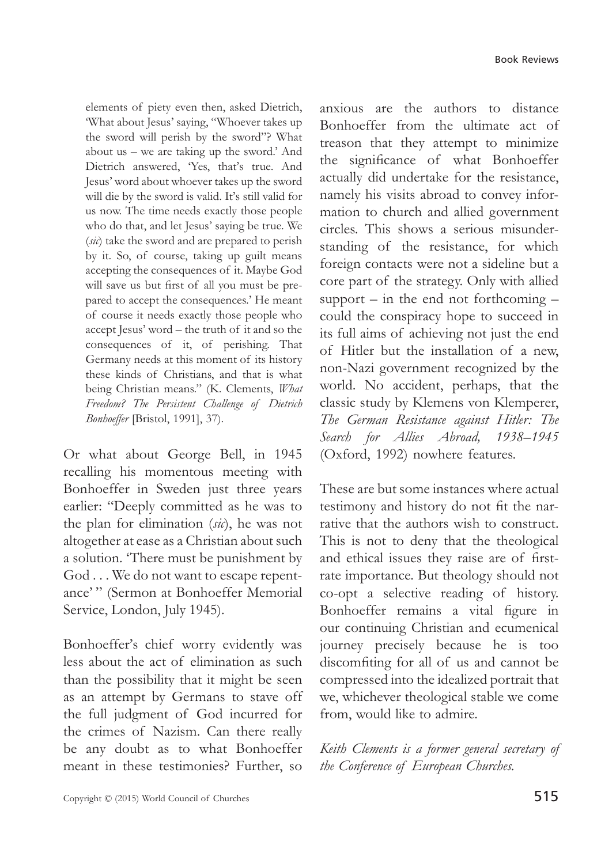elements of piety even then, asked Dietrich, 'What about Jesus' saying, "Whoever takes up the sword will perish by the sword"? What about us – we are taking up the sword.' And Dietrich answered, 'Yes, that's true. And Jesus' word about whoever takes up the sword will die by the sword is valid. It's still valid for us now. The time needs exactly those people who do that, and let Jesus' saying be true. We (*sic*) take the sword and are prepared to perish by it. So, of course, taking up guilt means accepting the consequences of it. Maybe God will save us but first of all you must be prepared to accept the consequences.' He meant of course it needs exactly those people who accept Jesus' word – the truth of it and so the consequences of it, of perishing. That Germany needs at this moment of its history these kinds of Christians, and that is what being Christian means." (K. Clements, *What Freedom? The Persistent Challenge of Dietrich Bonhoeffer* [Bristol, 1991], 37).

Or what about George Bell, in 1945 recalling his momentous meeting with Bonhoeffer in Sweden just three years earlier: "Deeply committed as he was to the plan for elimination (*sic*), he was not altogether at ease as a Christian about such a solution. 'There must be punishment by God . . . We do not want to escape repentance' " (Sermon at Bonhoeffer Memorial Service, London, July 1945).

Bonhoeffer's chief worry evidently was less about the act of elimination as such than the possibility that it might be seen as an attempt by Germans to stave off the full judgment of God incurred for the crimes of Nazism. Can there really be any doubt as to what Bonhoeffer meant in these testimonies? Further, so

anxious are the authors to distance Bonhoeffer from the ultimate act of treason that they attempt to minimize the significance of what Bonhoeffer actually did undertake for the resistance, namely his visits abroad to convey information to church and allied government circles. This shows a serious misunderstanding of the resistance, for which foreign contacts were not a sideline but a core part of the strategy. Only with allied support – in the end not forthcoming – could the conspiracy hope to succeed in its full aims of achieving not just the end of Hitler but the installation of a new, non-Nazi government recognized by the world. No accident, perhaps, that the classic study by Klemens von Klemperer, *The German Resistance against Hitler: The Search for Allies Abroad, 1938–1945* (Oxford, 1992) nowhere features.

These are but some instances where actual testimony and history do not fit the narrative that the authors wish to construct. This is not to deny that the theological and ethical issues they raise are of firstrate importance. But theology should not co-opt a selective reading of history. Bonhoeffer remains a vital figure in our continuing Christian and ecumenical journey precisely because he is too discomfiting for all of us and cannot be compressed into the idealized portrait that we, whichever theological stable we come from, would like to admire.

*Keith Clements is a former general secretary of the Conference of European Churches.*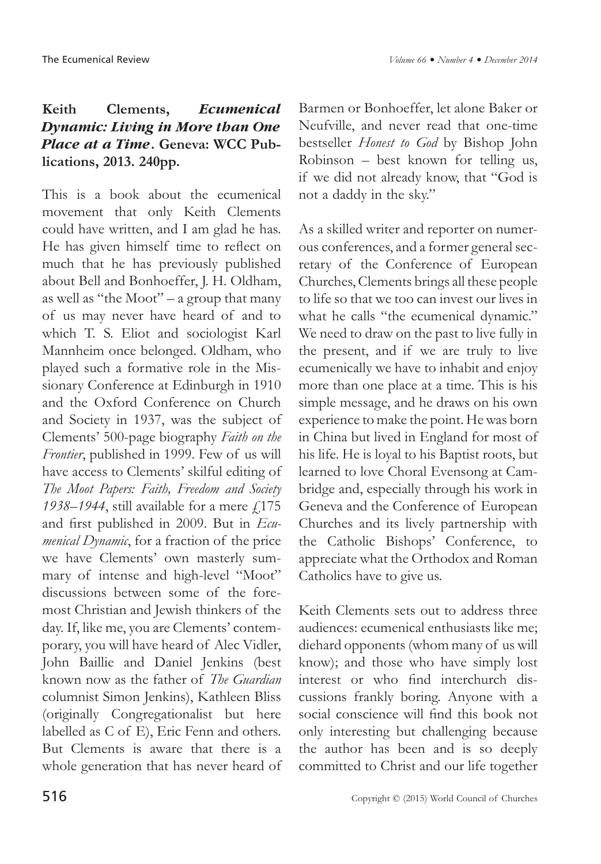## **Keith Clements,** *Ecumenical Dynamic: Living in More than One Place at a Time***. Geneva: WCC Publications, 2013. 240pp.**

This is a book about the ecumenical movement that only Keith Clements could have written, and I am glad he has. He has given himself time to reflect on much that he has previously published about Bell and Bonhoeffer, J. H. Oldham, as well as "the Moot"–agroup that many of us may never have heard of and to which T. S. Eliot and sociologist Karl Mannheim once belonged. Oldham, who played such a formative role in the Missionary Conference at Edinburgh in 1910 and the Oxford Conference on Church and Society in 1937, was the subject of Clements' 500-page biography *Faith on the Frontier*, published in 1999. Few of us will have access to Clements' skilful editing of *The Moot Papers: Faith, Freedom and Society* 1938–1944, still available for a mere  $f(175)$ and first published in 2009. But in *Ecumenical Dynamic*, for a fraction of the price we have Clements' own masterly summary of intense and high-level "Moot" discussions between some of the foremost Christian and Jewish thinkers of the day. If, like me, you are Clements' contemporary, you will have heard of Alec Vidler, John Baillie and Daniel Jenkins (best known now as the father of *The Guardian* columnist Simon Jenkins), Kathleen Bliss (originally Congregationalist but here labelled as C of E), Eric Fenn and others. But Clements is aware that there is a whole generation that has never heard of Barmen or Bonhoeffer, let alone Baker or Neufville, and never read that one-time bestseller *Honest to God* by Bishop John Robinson – best known for telling us, if we did not already know, that "God is not a daddy in the sky."

As a skilled writer and reporter on numerous conferences, and a former general secretary of the Conference of European Churches, Clements brings all these people to life so that we too can invest our lives in what he calls "the ecumenical dynamic." We need to draw on the past to live fully in the present, and if we are truly to live ecumenically we have to inhabit and enjoy more than one place at a time. This is his simple message, and he draws on his own experience to make the point. He was born in China but lived in England for most of his life. He is loyal to his Baptist roots, but learned to love Choral Evensong at Cambridge and, especially through his work in Geneva and the Conference of European Churches and its lively partnership with the Catholic Bishops' Conference, to appreciate what the Orthodox and Roman Catholics have to give us.

Keith Clements sets out to address three audiences: ecumenical enthusiasts like me; diehard opponents (whom many of us will know); and those who have simply lost interest or who find interchurch discussions frankly boring. Anyone with a social conscience will find this book not only interesting but challenging because the author has been and is so deeply committed to Christ and our life together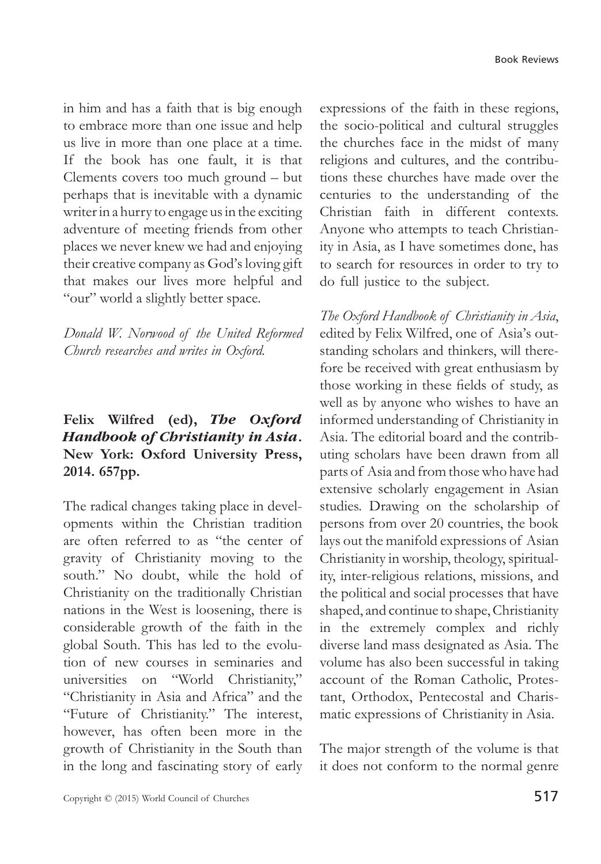in him and has a faith that is big enough to embrace more than one issue and help us live in more than one place at a time. If the book has one fault, it is that Clements covers too much ground – but perhaps that is inevitable with a dynamic writer in a hurry to engage us in the exciting adventure of meeting friends from other places we never knew we had and enjoying their creative company as God's loving gift that makes our lives more helpful and "our" world a slightly better space.

*Donald W. Norwood of the United Reformed Church researches and writes in Oxford.*

## **Felix Wilfred (ed),** *The Oxford Handbook of Christianity in Asia***. New York: Oxford University Press, 2014. 657pp.**

The radical changes taking place in developments within the Christian tradition are often referred to as "the center of gravity of Christianity moving to the south." No doubt, while the hold of Christianity on the traditionally Christian nations in the West is loosening, there is considerable growth of the faith in the global South. This has led to the evolution of new courses in seminaries and universities on "World Christianity," "Christianity in Asia and Africa" and the "Future of Christianity." The interest, however, has often been more in the growth of Christianity in the South than in the long and fascinating story of early

expressions of the faith in these regions, the socio-political and cultural struggles the churches face in the midst of many religions and cultures, and the contributions these churches have made over the centuries to the understanding of the Christian faith in different contexts. Anyone who attempts to teach Christianity in Asia, as I have sometimes done, has to search for resources in order to try to do full justice to the subject.

*The Oxford Handbook of Christianity in Asia*, edited by Felix Wilfred, one of Asia's outstanding scholars and thinkers, will therefore be received with great enthusiasm by those working in these fields of study, as well as by anyone who wishes to have an informed understanding of Christianity in Asia. The editorial board and the contributing scholars have been drawn from all parts of Asia and from those who have had extensive scholarly engagement in Asian studies. Drawing on the scholarship of persons from over 20 countries, the book lays out the manifold expressions of Asian Christianity in worship, theology, spirituality, inter-religious relations, missions, and the political and social processes that have shaped, and continue to shape, Christianity in the extremely complex and richly diverse land mass designated as Asia. The volume has also been successful in taking account of the Roman Catholic, Protestant, Orthodox, Pentecostal and Charismatic expressions of Christianity in Asia.

The major strength of the volume is that it does not conform to the normal genre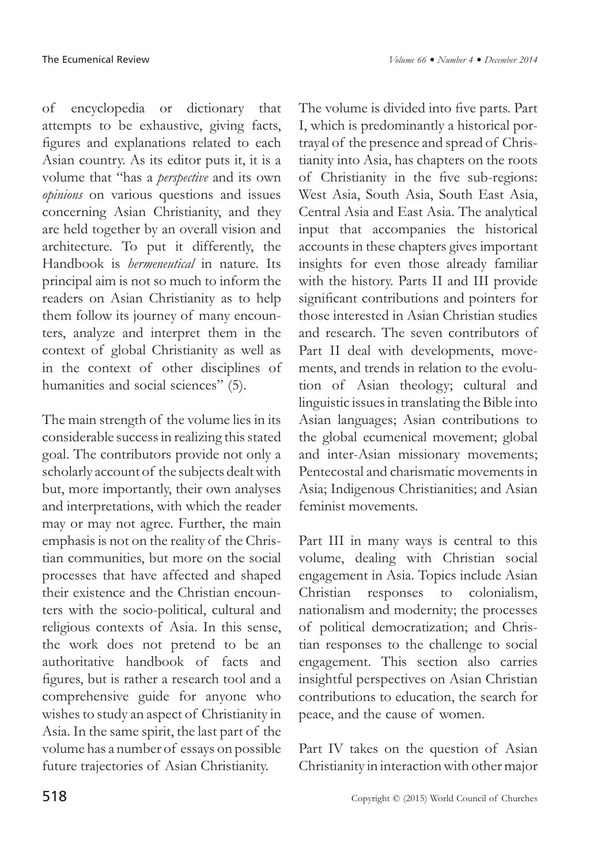of encyclopedia or dictionary that attempts to be exhaustive, giving facts, figures and explanations related to each Asian country. As its editor puts it, it is a volume that "has a *perspective* and its own *opinions* on various questions and issues concerning Asian Christianity, and they are held together by an overall vision and architecture. To put it differently, the Handbook is *hermeneutical* in nature. Its principal aim is not so much to inform the readers on Asian Christianity as to help them follow its journey of many encounters, analyze and interpret them in the context of global Christianity as well as in the context of other disciplines of humanities and social sciences" (5).

The main strength of the volume lies in its considerable success in realizing this stated goal. The contributors provide not only a scholarly account of the subjects dealt with but, more importantly, their own analyses and interpretations, with which the reader may or may not agree. Further, the main emphasis is not on the reality of the Christian communities, but more on the social processes that have affected and shaped their existence and the Christian encounters with the socio-political, cultural and religious contexts of Asia. In this sense, the work does not pretend to be an authoritative handbook of facts and figures, but is rather a research tool and a comprehensive guide for anyone who wishes to study an aspect of Christianity in Asia. In the same spirit, the last part of the volume has a number of essays on possible future trajectories of Asian Christianity.

The volume is divided into five parts. Part I, which is predominantly a historical portrayal of the presence and spread of Christianity into Asia, has chapters on the roots of Christianity in the five sub-regions: West Asia, South Asia, South East Asia, Central Asia and East Asia. The analytical input that accompanies the historical accounts in these chapters gives important insights for even those already familiar with the history. Parts II and III provide significant contributions and pointers for those interested in Asian Christian studies and research. The seven contributors of Part II deal with developments, movements, and trends in relation to the evolution of Asian theology; cultural and linguistic issues in translating the Bible into Asian languages; Asian contributions to the global ecumenical movement; global and inter-Asian missionary movements; Pentecostal and charismatic movements in Asia; Indigenous Christianities; and Asian feminist movements.

Part III in many ways is central to this volume, dealing with Christian social engagement in Asia. Topics include Asian Christian responses to colonialism, nationalism and modernity; the processes of political democratization; and Christian responses to the challenge to social engagement. This section also carries insightful perspectives on Asian Christian contributions to education, the search for peace, and the cause of women.

Part IV takes on the question of Asian Christianity in interaction with other major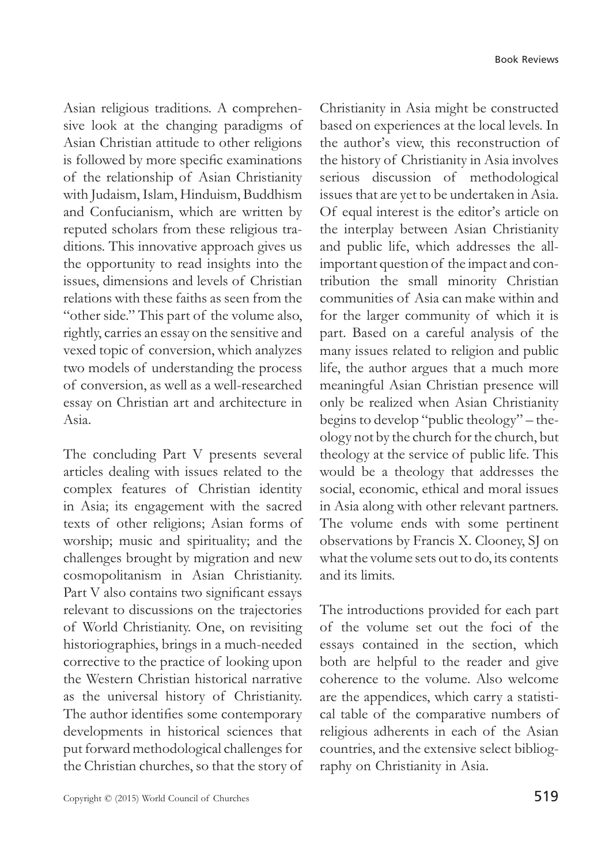Asian religious traditions. A comprehensive look at the changing paradigms of Asian Christian attitude to other religions is followed by more specific examinations of the relationship of Asian Christianity with Judaism, Islam, Hinduism, Buddhism and Confucianism, which are written by reputed scholars from these religious traditions. This innovative approach gives us the opportunity to read insights into the issues, dimensions and levels of Christian relations with these faiths as seen from the "other side." This part of the volume also, rightly, carries an essay on the sensitive and vexed topic of conversion, which analyzes two models of understanding the process of conversion, as well as a well-researched essay on Christian art and architecture in Asia.

The concluding Part V presents several articles dealing with issues related to the complex features of Christian identity in Asia; its engagement with the sacred texts of other religions; Asian forms of worship; music and spirituality; and the challenges brought by migration and new cosmopolitanism in Asian Christianity. Part V also contains two significant essays relevant to discussions on the trajectories of World Christianity. One, on revisiting historiographies, brings in a much-needed corrective to the practice of looking upon the Western Christian historical narrative as the universal history of Christianity. The author identifies some contemporary developments in historical sciences that put forward methodological challenges for the Christian churches, so that the story of

Christianity in Asia might be constructed based on experiences at the local levels. In the author's view, this reconstruction of the history of Christianity in Asia involves serious discussion of methodological issues that are yet to be undertaken in Asia. Of equal interest is the editor's article on the interplay between Asian Christianity and public life, which addresses the allimportant question of the impact and contribution the small minority Christian communities of Asia can make within and for the larger community of which it is part. Based on a careful analysis of the many issues related to religion and public life, the author argues that a much more meaningful Asian Christian presence will only be realized when Asian Christianity begins to develop "public theology" – theology not by the church for the church, but theology at the service of public life. This would be a theology that addresses the social, economic, ethical and moral issues in Asia along with other relevant partners. The volume ends with some pertinent observations by Francis X. Clooney, SJ on what the volume sets out to do, its contents and its limits.

The introductions provided for each part of the volume set out the foci of the essays contained in the section, which both are helpful to the reader and give coherence to the volume. Also welcome are the appendices, which carry a statistical table of the comparative numbers of religious adherents in each of the Asian countries, and the extensive select bibliography on Christianity in Asia.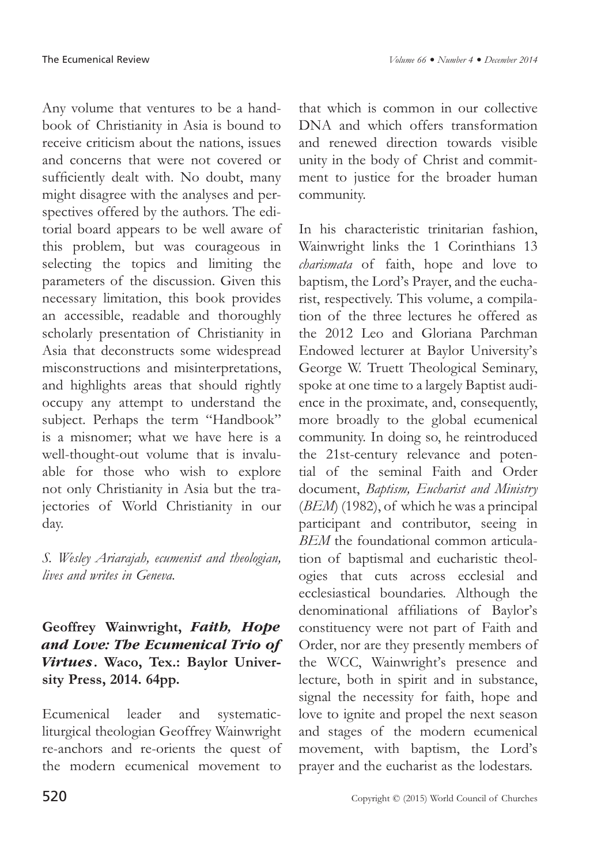Any volume that ventures to be a handbook of Christianity in Asia is bound to receive criticism about the nations, issues and concerns that were not covered or sufficiently dealt with. No doubt, many might disagree with the analyses and perspectives offered by the authors. The editorial board appears to be well aware of this problem, but was courageous in selecting the topics and limiting the parameters of the discussion. Given this necessary limitation, this book provides an accessible, readable and thoroughly scholarly presentation of Christianity in Asia that deconstructs some widespread misconstructions and misinterpretations, and highlights areas that should rightly occupy any attempt to understand the subject. Perhaps the term "Handbook" is a misnomer; what we have here is a well-thought-out volume that is invaluable for those who wish to explore not only Christianity in Asia but the trajectories of World Christianity in our day.

*S. Wesley Ariarajah, ecumenist and theologian, lives and writes in Geneva.*

**Geoffrey Wainwright,** *Faith, Hope and Love: The Ecumenical Trio of Virtues***. Waco, Tex.: Baylor University Press, 2014. 64pp.**

Ecumenical leader and systematicliturgical theologian Geoffrey Wainwright re-anchors and re-orients the quest of the modern ecumenical movement to

that which is common in our collective DNA and which offers transformation and renewed direction towards visible unity in the body of Christ and commitment to justice for the broader human community.

In his characteristic trinitarian fashion, Wainwright links the 1 Corinthians 13 *charismata* of faith, hope and love to baptism, the Lord's Prayer, and the eucharist, respectively. This volume, a compilation of the three lectures he offered as the 2012 Leo and Gloriana Parchman Endowed lecturer at Baylor University's George W. Truett Theological Seminary, spoke at one time to a largely Baptist audience in the proximate, and, consequently, more broadly to the global ecumenical community. In doing so, he reintroduced the 21st-century relevance and potential of the seminal Faith and Order document, *Baptism, Eucharist and Ministry* (*BEM*) (1982), of which he was a principal participant and contributor, seeing in *BEM* the foundational common articulation of baptismal and eucharistic theologies that cuts across ecclesial and ecclesiastical boundaries. Although the denominational affiliations of Baylor's constituency were not part of Faith and Order, nor are they presently members of the WCC, Wainwright's presence and lecture, both in spirit and in substance, signal the necessity for faith, hope and love to ignite and propel the next season and stages of the modern ecumenical movement, with baptism, the Lord's prayer and the eucharist as the lodestars.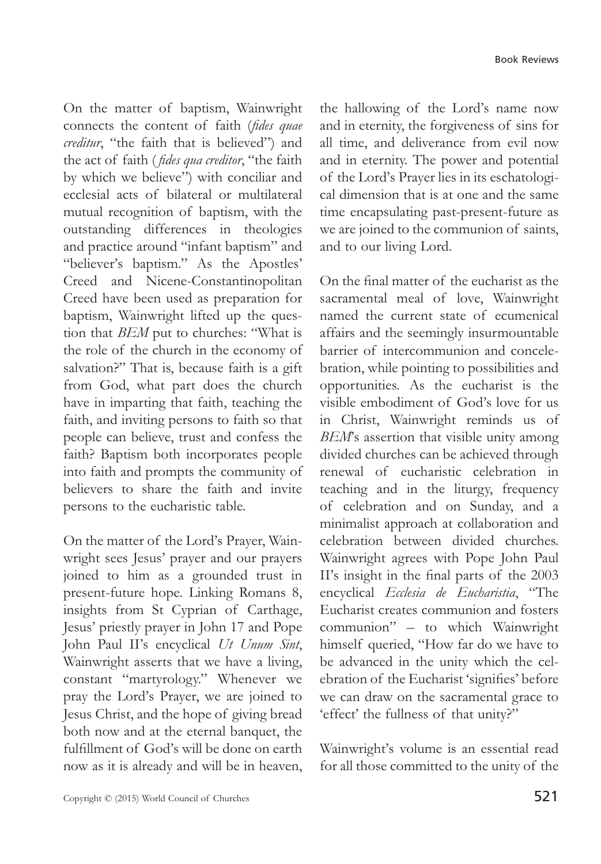On the matter of baptism, Wainwright connects the content of faith (*fides quae creditur*, "the faith that is believed") and the act of faith ( *fides qua creditor*, "the faith by which we believe") with conciliar and ecclesial acts of bilateral or multilateral mutual recognition of baptism, with the outstanding differences in theologies and practice around "infant baptism" and "believer's baptism." As the Apostles' Creed and Nicene-Constantinopolitan Creed have been used as preparation for baptism, Wainwright lifted up the question that *BEM* put to churches: "What is the role of the church in the economy of salvation?" That is, because faith is a gift from God, what part does the church have in imparting that faith, teaching the faith, and inviting persons to faith so that people can believe, trust and confess the faith? Baptism both incorporates people into faith and prompts the community of believers to share the faith and invite persons to the eucharistic table.

On the matter of the Lord's Prayer, Wainwright sees Jesus' prayer and our prayers joined to him as a grounded trust in present-future hope. Linking Romans 8, insights from St Cyprian of Carthage, Jesus' priestly prayer in John 17 and Pope John Paul II's encyclical *Ut Unum Sint*, Wainwright asserts that we have a living, constant "martyrology." Whenever we pray the Lord's Prayer, we are joined to Jesus Christ, and the hope of giving bread both now and at the eternal banquet, the fulfillment of God's will be done on earth now as it is already and will be in heaven,

the hallowing of the Lord's name now and in eternity, the forgiveness of sins for all time, and deliverance from evil now and in eternity. The power and potential of the Lord's Prayer lies in its eschatological dimension that is at one and the same time encapsulating past-present-future as we are joined to the communion of saints, and to our living Lord.

On the final matter of the eucharist as the sacramental meal of love, Wainwright named the current state of ecumenical affairs and the seemingly insurmountable barrier of intercommunion and concelebration, while pointing to possibilities and opportunities. As the eucharist is the visible embodiment of God's love for us in Christ, Wainwright reminds us of *BEM*'s assertion that visible unity among divided churches can be achieved through renewal of eucharistic celebration in teaching and in the liturgy, frequency of celebration and on Sunday, and a minimalist approach at collaboration and celebration between divided churches. Wainwright agrees with Pope John Paul II's insight in the final parts of the 2003 encyclical *Ecclesia de Eucharistia*, "The Eucharist creates communion and fosters communion" – to which Wainwright himself queried, "How far do we have to be advanced in the unity which the celebration of the Eucharist 'signifies' before we can draw on the sacramental grace to 'effect' the fullness of that unity?"

Wainwright's volume is an essential read for all those committed to the unity of the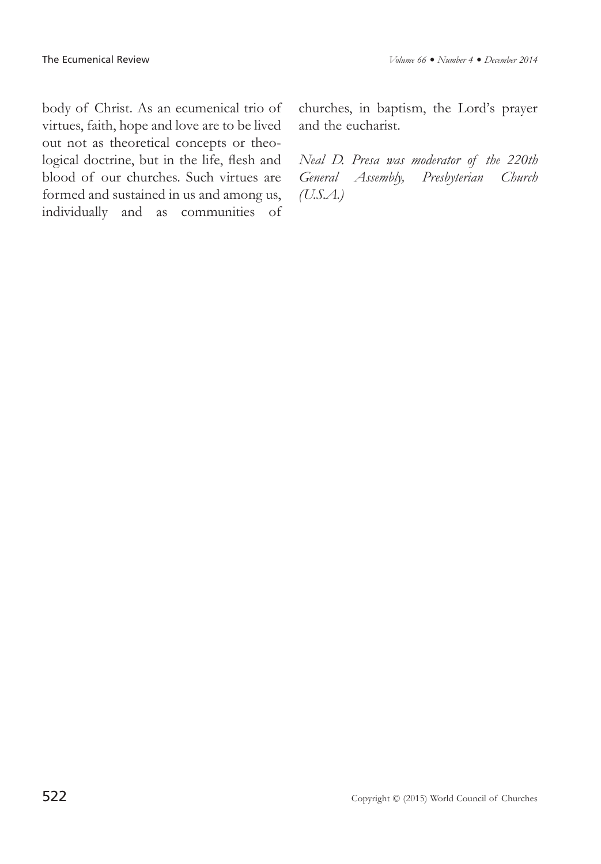body of Christ. As an ecumenical trio of virtues, faith, hope and love are to be lived out not as theoretical concepts or theological doctrine, but in the life, flesh and blood of our churches. Such virtues are formed and sustained in us and among us, individually and as communities of

churches, in baptism, the Lord's prayer and the eucharist.

*Neal D. Presa was moderator of the 220th General Assembly, Presbyterian Church (U.S.A.)*